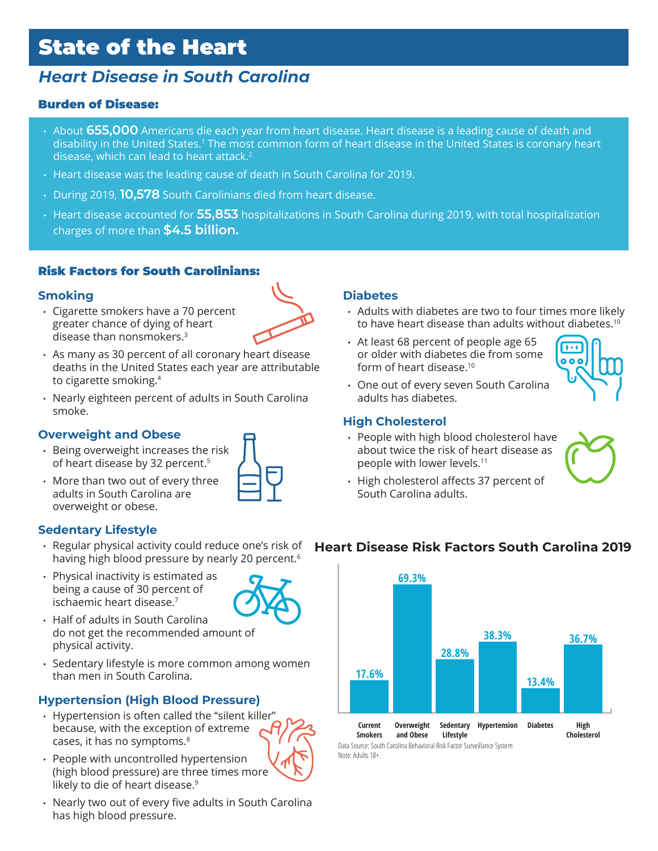# State of the Heart

## *Heart Disease in South Carolina*

#### Burden of Disease:

- About **655,000** Americans die each year from heart disease. Heart disease is a leading cause of death and disability in the United States.1 The most common form of heart disease in the United States is coronary heart disease, which can lead to heart attack.<sup>2</sup>
- Heart disease was the leading cause of death in South Carolina for 2019.
- During 2019, **10,578** South Carolinians died from heart disease.
- Heart disease accounted for **55,853** hospitalizations in South Carolina during 2019, with total hospitalization charges of more than **\$4.5 billion.**

#### Risk Factors for South Carolinians:

#### **Smoking**

• Cigarette smokers have a 70 percent greater chance of dying of heart disease than nonsmokers.3



- As many as 30 percent of all coronary heart disease deaths in the United States each year are attributable to cigarette smoking.4
- Nearly eighteen percent of adults in South Carolina smoke.

#### **Overweight and Obese**

- Being overweight increases the risk of heart disease by 32 percent.<sup>5</sup>
- More than two out of every three adults in South Carolina are overweight or obese.

#### **Sedentary Lifestyle**

- having high blood pressure by nearly 20 percent.<sup>6</sup>
- Physical inactivity is estimated as being a cause of 30 percent of ischaemic heart disease.7



- Half of adults in South Carolina do not get the recommended amount of physical activity.
- Sedentary lifestyle is more common among women than men in South Carolina.

#### **Hypertension (High Blood Pressure)**

- Hypertension is often called the "silent killer" because, with the exception of extreme cases, it has no symptoms.8
- People with uncontrolled hypertension (high blood pressure) are three times more likely to die of heart disease.<sup>9</sup>
- Nearly two out of every five adults in South Carolina has high blood pressure.

#### **Diabetes**

- Adults with diabetes are two to four times more likely to have heart disease than adults without diabetes.10
- At least 68 percent of people age 65 or older with diabetes die from some form of heart disease.10



• One out of every seven South Carolina adults has diabetes.

#### **High Cholesterol**

• People with high blood cholesterol have about twice the risk of heart disease as people with lower levels.11



#### • Regular physical activity could reduce one's risk of **Heart Disease Risk Factors South Carolina 2019**



Data Source: South Carolina Behavioral Risk Factor Surveillance System Note: Adults 18+.